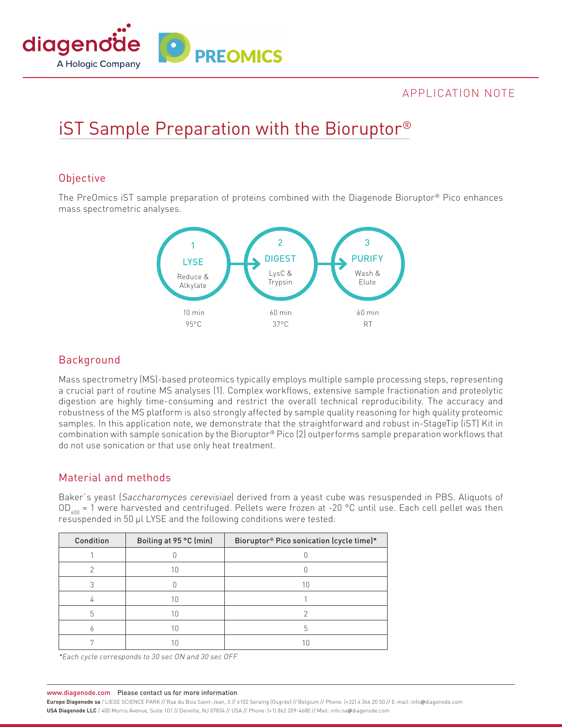

# APPLICATION NOTE

# iST Sample Preparation with the Bioruptor®

#### **Objective**

The PreOmics iST sample preparation of proteins combined with the Diagenode Bioruptor® Pico enhances mass spectrometric analyses.



# Background

Mass spectrometry (MS)-based proteomics typically employs multiple sample processing steps, representing a crucial part of routine MS analyses (1). Complex workflows, extensive sample fractionation and proteolytic digestion are highly time-consuming and restrict the overall technical reproducibility. The accuracy and robustness of the MS platform is also strongly affected by sample quality reasoning for high quality proteomic samples. In this application note, we demonstrate that the straightforward and robust in-StageTip (iST) Kit in combination with sample sonication by the Bioruptor® Pico (2) outperforms sample preparation workflows that do not use sonication or that use only heat treatment.

## Material and methods

Baker`s yeast (Saccharomyces cerevisiae) derived from a yeast cube was resuspended in PBS. Aliquots of OD<sub>400</sub> = 1 were harvested and centrifuged. Pellets were frozen at -20 °C until use. Each cell pellet was then resuspended in 50 µl LYSE and the following conditions were tested:

| Condition | Boiling at 95 °C (min) | Bioruptor® Pico sonication (cycle time)* |  |
|-----------|------------------------|------------------------------------------|--|
|           |                        |                                          |  |
| ◠         | 10                     |                                          |  |
|           |                        | 10                                       |  |
|           | 10                     |                                          |  |
| 5         | 10                     |                                          |  |
|           |                        |                                          |  |
|           |                        |                                          |  |

\*Each cycle corresponds to 30 sec ON and 30 sec OFF

www.diagenode.com Please contact us for more information

**Europe Diagenode sa** / LIEGE SCIENCE PARK // Rue du Bois Saint-Jean, 3 // 4102 Seraing (Ougrée) // Belgium // Phone: (+32) 4 364 20 50 // E-mail: info@diagenode.com **USA Diagenode LLC** / 400 Morris Avenue, Suite 101 // Denville, NJ 07834 // USA // Phone: (+1) 862 209-4680 // Mail: info.na@diagenode.com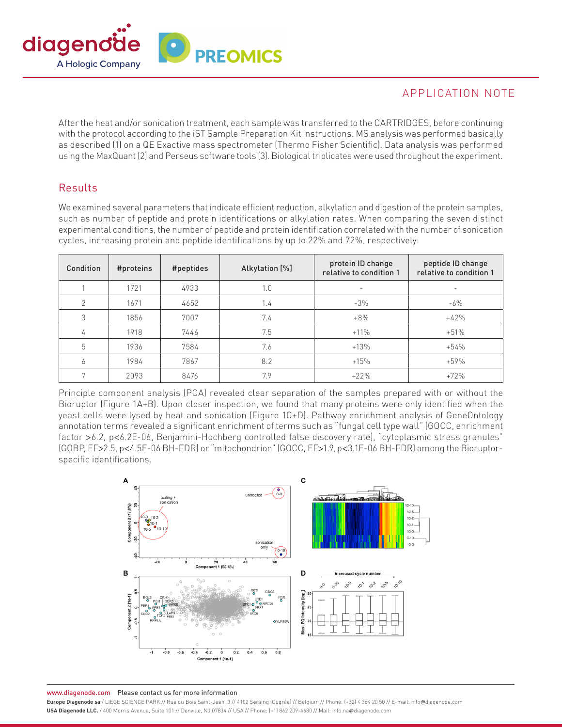

# APPLICATION NOTE

After the heat and/or sonication treatment, each sample was transferred to the CARTRIDGES, before continuing with the protocol according to the iST Sample Preparation Kit instructions. MS analysis was performed basically as described (1) on a QE Exactive mass spectrometer (Thermo Fisher Scientific). Data analysis was performed using the MaxQuant (2) and Perseus software tools (3). Biological triplicates were used throughout the experiment.

#### Results

We examined several parameters that indicate efficient reduction, alkylation and digestion of the protein samples, such as number of peptide and protein identifications or alkylation rates. When comparing the seven distinct experimental conditions, the number of peptide and protein identification correlated with the number of sonication cycles, increasing protein and peptide identifications by up to 22% and 72%, respectively:

| Condition      | #proteins | #peptides | Alkylation [%] | protein ID change<br>relative to condition 1 | peptide ID change<br>relative to condition 1 |
|----------------|-----------|-----------|----------------|----------------------------------------------|----------------------------------------------|
|                | 1721      | 4933      | 1.0            |                                              |                                              |
| $\overline{2}$ | 1671      | 4652      | 1.4            | $-3%$                                        | $-6\%$                                       |
| 3              | 1856      | 7007      | 7.4            | $+8%$                                        | $+42%$                                       |
| 4              | 1918      | 7446      | 7.5            | $+11%$                                       | $+51%$                                       |
| 5              | 1936      | 7584      | 7.6            | $+13%$                                       | $+54%$                                       |
| 6              | 1984      | 7867      | 8.2            | $+15%$                                       | $+59%$                                       |
|                | 2093      | 8476      | 7.9            | $+22%$                                       | $+72%$                                       |

Principle component analysis (PCA) revealed clear separation of the samples prepared with or without the Bioruptor (Figure 1A+B). Upon closer inspection, we found that many proteins were only identified when the yeast cells were lysed by heat and sonication (Figure 1C+D). Pathway enrichment analysis of GeneOntology annotation terms revealed a significant enrichment of terms such as "fungal cell type wall" (GOCC, enrichment factor >6.2, p<6.2E-06, Benjamini-Hochberg controlled false discovery rate), "cytoplasmic stress granules" (GOBP, EF>2.5, p<4.5E-06 BH-FDR) or "mitochondrion" (GOCC, EF>1.9, p<3.1E-06 BH-FDR) among the Bioruptorspecific identifications.



www.diagenode.com Please contact us for more information

Europe Diagenode sa / LIEGE SCIENCE PARK // Rue du Bois Saint-Jean, 3 // 4102 Seraing (Ougrée) // Belgium // Phone: [+32] 4 364 20 50 // E-mail: info@diagenode.com USA Diagenode LLC. / 400 Morris Avenue, Suite 101 // Denville, NJ 07834 // USA // Phone: (+1) 862 209-4680 // Mail: info.na@diagenode.com